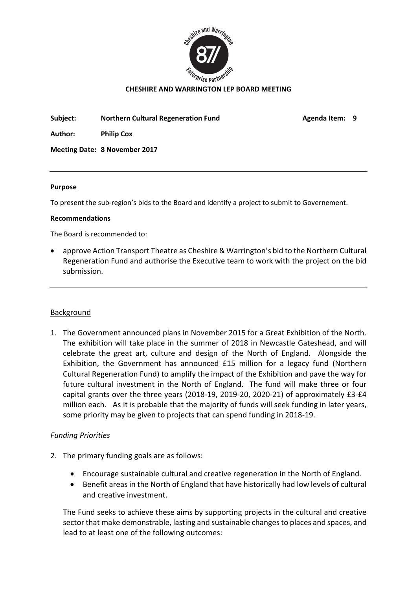

#### CHESHIRE AND WARRINGTON LEP BOARD MEETING

Subject: Northern Cultural Regeneration Fund Mageneration Fund Agenda Item: 9

Author: Philip Cox

Meeting Date: 8 November 2017

#### Purpose

To present the sub-region's bids to the Board and identify a project to submit to Governement.

#### Recommendations

The Board is recommended to:

 approve Action Transport Theatre as Cheshire & Warrington's bid to the Northern Cultural Regeneration Fund and authorise the Executive team to work with the project on the bid submission.

### **Background**

1. The Government announced plans in November 2015 for a Great Exhibition of the North. The exhibition will take place in the summer of 2018 in Newcastle Gateshead, and will celebrate the great art, culture and design of the North of England. Alongside the Exhibition, the Government has announced £15 million for a legacy fund (Northern Cultural Regeneration Fund) to amplify the impact of the Exhibition and pave the way for future cultural investment in the North of England. The fund will make three or four capital grants over the three years (2018-19, 2019-20, 2020-21) of approximately £3-£4 million each. As it is probable that the majority of funds will seek funding in later years, some priority may be given to projects that can spend funding in 2018-19.

### *Funding Priorities*

- 2. The primary funding goals are as follows:
	- Encourage sustainable cultural and creative regeneration in the North of England.
	- Benefit areas in the North of England that have historically had low levels of cultural and creative investment.

The Fund seeks to achieve these aims by supporting projects in the cultural and creative sector that make demonstrable, lasting and sustainable changes to places and spaces, and lead to at least one of the following outcomes: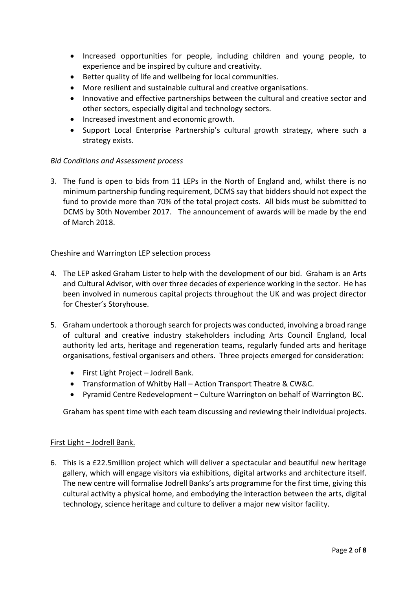- Increased opportunities for people, including children and young people, to experience and be inspired by culture and creativity.
- Better quality of life and wellbeing for local communities.
- More resilient and sustainable cultural and creative organisations.
- Innovative and effective partnerships between the cultural and creative sector and other sectors, especially digital and technology sectors.
- Increased investment and economic growth.
- Support Local Enterprise Partnership's cultural growth strategy, where such a strategy exists.

## *Bid Conditions and Assessment process*

3. The fund is open to bids from 11 LEPs in the North of England and, whilst there is no minimum partnership funding requirement, DCMS say that bidders should not expect the fund to provide more than 70% of the total project costs. All bids must be submitted to DCMS by 30th November 2017. The announcement of awards will be made by the end of March 2018.

### Cheshire and Warrington LEP selection process

- 4. The LEP asked Graham Lister to help with the development of our bid. Graham is an Arts and Cultural Advisor, with over three decades of experience working in the sector. He has been involved in numerous capital projects throughout the UK and was project director for Chester's Storyhouse.
- 5. Graham undertook a thorough search for projects was conducted, involving a broad range of cultural and creative industry stakeholders including Arts Council England, local authority led arts, heritage and regeneration teams, regularly funded arts and heritage organisations, festival organisers and others. Three projects emerged for consideration:
	- First Light Project Jodrell Bank.
	- Transformation of Whitby Hall Action Transport Theatre & CW&C.
	- Pyramid Centre Redevelopment Culture Warrington on behalf of Warrington BC.

Graham has spent time with each team discussing and reviewing their individual projects.

### First Light – Jodrell Bank.

6. This is a £22.5million project which will deliver a spectacular and beautiful new heritage gallery, which will engage visitors via exhibitions, digital artworks and architecture itself. The new centre will formalise Jodrell Banks's arts programme for the first time, giving this cultural activity a physical home, and embodying the interaction between the arts, digital technology, science heritage and culture to deliver a major new visitor facility.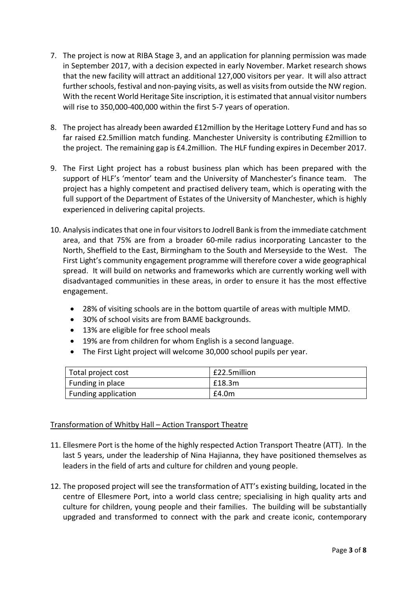- 7. The project is now at RIBA Stage 3, and an application for planning permission was made in September 2017, with a decision expected in early November. Market research shows that the new facility will attract an additional 127,000 visitors per year. It will also attract further schools, festival and non-paying visits, as well as visits from outside the NW region. With the recent World Heritage Site inscription, it is estimated that annual visitor numbers will rise to 350,000-400,000 within the first 5-7 years of operation.
- 8. The project has already been awarded £12million by the Heritage Lottery Fund and has so far raised £2.5million match funding. Manchester University is contributing £2million to the project. The remaining gap is £4.2million. The HLF funding expires in December 2017.
- 9. The First Light project has a robust business plan which has been prepared with the support of HLF's 'mentor' team and the University of Manchester's finance team. The project has a highly competent and practised delivery team, which is operating with the full support of the Department of Estates of the University of Manchester, which is highly experienced in delivering capital projects.
- 10. Analysis indicates that one in four visitors to Jodrell Bank is from the immediate catchment area, and that 75% are from a broader 60-mile radius incorporating Lancaster to the North, Sheffield to the East, Birmingham to the South and Merseyside to the West. The First Light's community engagement programme will therefore cover a wide geographical spread. It will build on networks and frameworks which are currently working well with disadvantaged communities in these areas, in order to ensure it has the most effective engagement.
	- 28% of visiting schools are in the bottom quartile of areas with multiple MMD.
	- 30% of school visits are from BAME backgrounds.
	- 13% are eligible for free school meals
	- 19% are from children for whom English is a second language.
	- The First Light project will welcome 30,000 school pupils per year.

| Total project cost  | £22.5million |
|---------------------|--------------|
| Funding in place    | £18.3m       |
| Funding application | E4.0m        |

# Transformation of Whitby Hall – Action Transport Theatre

- 11. Ellesmere Port is the home of the highly respected Action Transport Theatre (ATT). In the last 5 years, under the leadership of Nina Hajianna, they have positioned themselves as leaders in the field of arts and culture for children and young people.
- 12. The proposed project will see the transformation of ATT's existing building, located in the centre of Ellesmere Port, into a world class centre; specialising in high quality arts and culture for children, young people and their families. The building will be substantially upgraded and transformed to connect with the park and create iconic, contemporary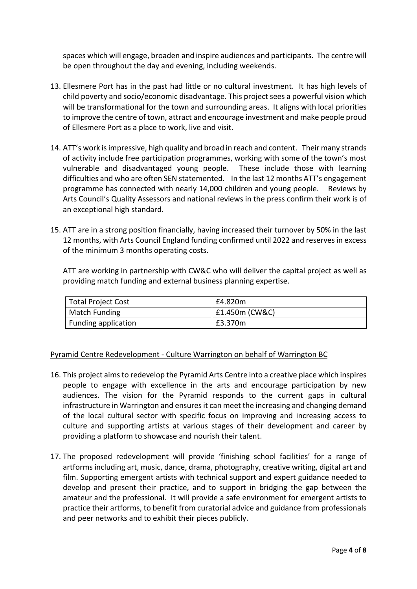spaces which will engage, broaden and inspire audiences and participants. The centre will be open throughout the day and evening, including weekends.

- 13. Ellesmere Port has in the past had little or no cultural investment. It has high levels of child poverty and socio/economic disadvantage. This project sees a powerful vision which will be transformational for the town and surrounding areas. It aligns with local priorities to improve the centre of town, attract and encourage investment and make people proud of Ellesmere Port as a place to work, live and visit.
- 14. ATT's work is impressive, high quality and broad in reach and content. Their many strands of activity include free participation programmes, working with some of the town's most vulnerable and disadvantaged young people. These include those with learning difficulties and who are often SEN statemented. In the last 12 months ATT's engagement programme has connected with nearly 14,000 children and young people. Reviews by Arts Council's Quality Assessors and national reviews in the press confirm their work is of an exceptional high standard.
- 15. ATT are in a strong position financially, having increased their turnover by 50% in the last 12 months, with Arts Council England funding confirmed until 2022 and reserves in excess of the minimum 3 months operating costs.

ATT are working in partnership with CW&C who will deliver the capital project as well as providing match funding and external business planning expertise.

| <b>Total Project Cost</b> | £4.820m        |
|---------------------------|----------------|
| Match Funding             | £1.450m (CW&C) |
| Funding application       | £3.370m        |

### Pyramid Centre Redevelopment - Culture Warrington on behalf of Warrington BC

- 16. This project aims to redevelop the Pyramid Arts Centre into a creative place which inspires people to engage with excellence in the arts and encourage participation by new audiences. The vision for the Pyramid responds to the current gaps in cultural infrastructure in Warrington and ensures it can meet the increasing and changing demand of the local cultural sector with specific focus on improving and increasing access to culture and supporting artists at various stages of their development and career by providing a platform to showcase and nourish their talent.
- 17. The proposed redevelopment will provide 'finishing school facilities' for a range of artforms including art, music, dance, drama, photography, creative writing, digital art and film. Supporting emergent artists with technical support and expert guidance needed to develop and present their practice, and to support in bridging the gap between the amateur and the professional. It will provide a safe environment for emergent artists to practice their artforms, to benefit from curatorial advice and guidance from professionals and peer networks and to exhibit their pieces publicly.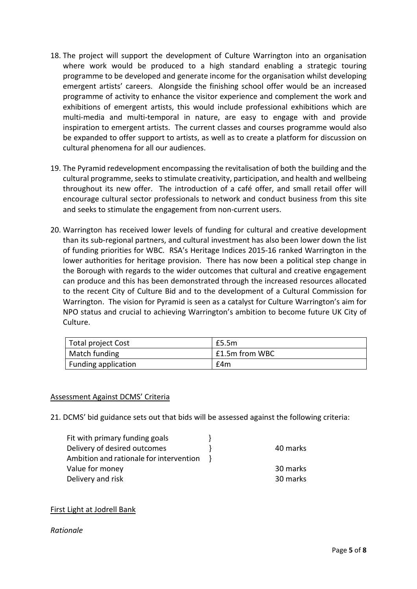- 18. The project will support the development of Culture Warrington into an organisation where work would be produced to a high standard enabling a strategic touring programme to be developed and generate income for the organisation whilst developing emergent artists' careers. Alongside the finishing school offer would be an increased programme of activity to enhance the visitor experience and complement the work and exhibitions of emergent artists, this would include professional exhibitions which are multi-media and multi-temporal in nature, are easy to engage with and provide inspiration to emergent artists. The current classes and courses programme would also be expanded to offer support to artists, as well as to create a platform for discussion on cultural phenomena for all our audiences.
- 19. The Pyramid redevelopment encompassing the revitalisation of both the building and the cultural programme, seeks to stimulate creativity, participation, and health and wellbeing throughout its new offer. The introduction of a café offer, and small retail offer will encourage cultural sector professionals to network and conduct business from this site and seeks to stimulate the engagement from non-current users.
- 20. Warrington has received lower levels of funding for cultural and creative development than its sub-regional partners, and cultural investment has also been lower down the list of funding priorities for WBC. RSA's Heritage Indices 2015-16 ranked Warrington in the lower authorities for heritage provision. There has now been a political step change in the Borough with regards to the wider outcomes that cultural and creative engagement can produce and this has been demonstrated through the increased resources allocated to the recent City of Culture Bid and to the development of a Cultural Commission for Warrington. The vision for Pyramid is seen as a catalyst for Culture Warrington's aim for NPO status and crucial to achieving Warrington's ambition to become future UK City of Culture.

| Total project Cost  | £5.5m          |
|---------------------|----------------|
| Match funding       | £1.5m from WBC |
| Funding application | £4m            |

### Assessment Against DCMS' Criteria

21. DCMS' bid guidance sets out that bids will be assessed against the following criteria:

| Fit with primary funding goals          |          |
|-----------------------------------------|----------|
| Delivery of desired outcomes            | 40 marks |
| Ambition and rationale for intervention |          |
| Value for money                         | 30 marks |
| Delivery and risk                       | 30 marks |
|                                         |          |

# First Light at Jodrell Bank

### *Rationale*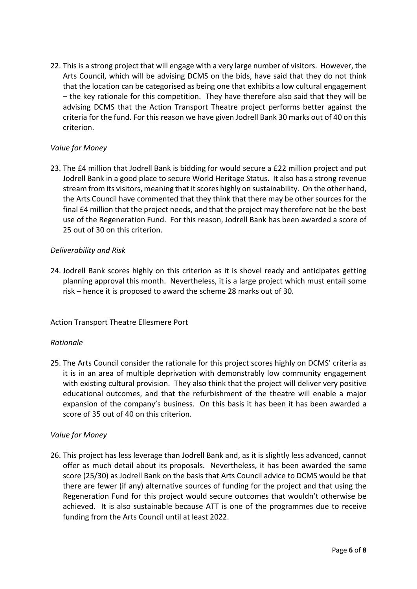22. This is a strong project that will engage with a very large number of visitors. However, the Arts Council, which will be advising DCMS on the bids, have said that they do not think that the location can be categorised as being one that exhibits a low cultural engagement – the key rationale for this competition. They have therefore also said that they will be advising DCMS that the Action Transport Theatre project performs better against the criteria for the fund. For this reason we have given Jodrell Bank 30 marks out of 40 on this criterion.

## *Value for Money*

23. The £4 million that Jodrell Bank is bidding for would secure a £22 million project and put Jodrell Bank in a good place to secure World Heritage Status. It also has a strong revenue stream from its visitors, meaning that it scores highly on sustainability. On the other hand, the Arts Council have commented that they think that there may be other sources for the final £4 million that the project needs, and that the project may therefore not be the best use of the Regeneration Fund. For this reason, Jodrell Bank has been awarded a score of 25 out of 30 on this criterion.

## *Deliverability and Risk*

24. Jodrell Bank scores highly on this criterion as it is shovel ready and anticipates getting planning approval this month. Nevertheless, it is a large project which must entail some risk – hence it is proposed to award the scheme 28 marks out of 30.

# Action Transport Theatre Ellesmere Port

### *Rationale*

25. The Arts Council consider the rationale for this project scores highly on DCMS' criteria as it is in an area of multiple deprivation with demonstrably low community engagement with existing cultural provision. They also think that the project will deliver very positive educational outcomes, and that the refurbishment of the theatre will enable a major expansion of the company's business. On this basis it has been it has been awarded a score of 35 out of 40 on this criterion.

### *Value for Money*

26. This project has less leverage than Jodrell Bank and, as it is slightly less advanced, cannot offer as much detail about its proposals. Nevertheless, it has been awarded the same score (25/30) as Jodrell Bank on the basis that Arts Council advice to DCMS would be that there are fewer (if any) alternative sources of funding for the project and that using the Regeneration Fund for this project would secure outcomes that wouldn't otherwise be achieved. It is also sustainable because ATT is one of the programmes due to receive funding from the Arts Council until at least 2022.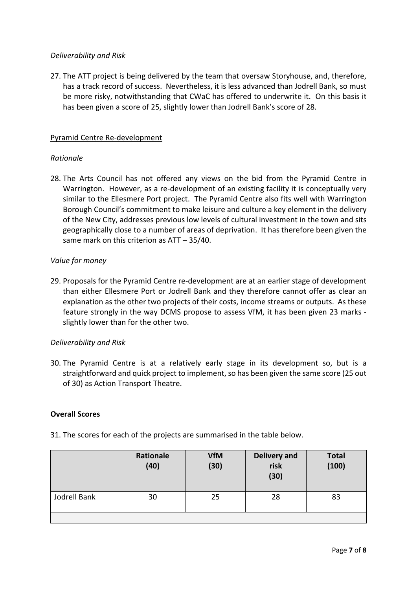## *Deliverability and Risk*

27. The ATT project is being delivered by the team that oversaw Storyhouse, and, therefore, has a track record of success. Nevertheless, it is less advanced than Jodrell Bank, so must be more risky, notwithstanding that CWaC has offered to underwrite it. On this basis it has been given a score of 25, slightly lower than Jodrell Bank's score of 28.

### Pyramid Centre Re-development

### *Rationale*

28. The Arts Council has not offered any views on the bid from the Pyramid Centre in Warrington. However, as a re-development of an existing facility it is conceptually very similar to the Ellesmere Port project. The Pyramid Centre also fits well with Warrington Borough Council's commitment to make leisure and culture a key element in the delivery of the New City, addresses previous low levels of cultural investment in the town and sits geographically close to a number of areas of deprivation. It has therefore been given the same mark on this criterion as ATT – 35/40.

## *Value for money*

29. Proposals for the Pyramid Centre re-development are at an earlier stage of development than either Ellesmere Port or Jodrell Bank and they therefore cannot offer as clear an explanation as the other two projects of their costs, income streams or outputs. As these feature strongly in the way DCMS propose to assess VfM, it has been given 23 marks slightly lower than for the other two.

### *Deliverability and Risk*

30. The Pyramid Centre is at a relatively early stage in its development so, but is a straightforward and quick project to implement, so has been given the same score (25 out of 30) as Action Transport Theatre.

### Overall Scores

|              | Rationale<br>(40) | <b>VfM</b><br>(30) | <b>Delivery and</b><br>risk<br>(30) | <b>Total</b><br>(100) |
|--------------|-------------------|--------------------|-------------------------------------|-----------------------|
| Jodrell Bank | 30                | 25                 | 28                                  | 83                    |

31. The scores for each of the projects are summarised in the table below.